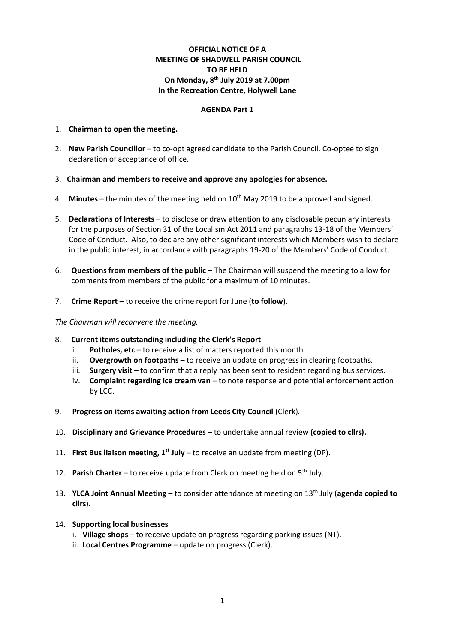# **OFFICIAL NOTICE OF A MEETING OF SHADWELL PARISH COUNCIL TO BE HELD On Monday, 8 th July 2019 at 7.00pm In the Recreation Centre, Holywell Lane**

#### **AGENDA Part 1**

#### 1. **Chairman to open the meeting.**

- 2. **New Parish Councillor** to co-opt agreed candidate to the Parish Council. Co-optee to sign declaration of acceptance of office.
- 3. **Chairman and members to receive and approve any apologies for absence.**
- 4. Minutes the minutes of the meeting held on 10<sup>th</sup> May 2019 to be approved and signed.
- 5. **Declarations of Interests** to disclose or draw attention to any disclosable pecuniary interests for the purposes of Section 31 of the Localism Act 2011 and paragraphs 13-18 of the Members' Code of Conduct. Also, to declare any other significant interests which Members wish to declare in the public interest, in accordance with paragraphs 19-20 of the Members' Code of Conduct.
- 6. **Questions from members of the public** The Chairman will suspend the meeting to allow for comments from members of the public for a maximum of 10 minutes.
- 7. **Crime Report** to receive the crime report for June (**to follow**).

#### *The Chairman will reconvene the meeting.*

- 8. **Current items outstanding including the Clerk's Report**
	- i. **Potholes, etc** to receive a list of matters reported this month.
	- ii. **Overgrowth on footpaths** to receive an update on progress in clearing footpaths.
	- iii. **Surgery visit** to confirm that a reply has been sent to resident regarding bus services.
	- iv. **Complaint regarding ice cream van** to note response and potential enforcement action by LCC.
- 9. **Progress on items awaiting action from Leeds City Council** (Clerk).
- 10. **Disciplinary and Grievance Procedures** to undertake annual review **(copied to cllrs).**
- 11. **First Bus liaison meeting, 1st July** to receive an update from meeting (DP).
- 12. **Parish Charter** to receive update from Clerk on meeting held on 5th July.
- 13. **YLCA Joint Annual Meeting** to consider attendance at meeting on 13th July (**agenda copied to cllrs**).
- 14. **Supporting local businesses**
	- i. **Village shops** to receive update on progress regarding parking issues (NT).
	- ii. **Local Centres Programme** update on progress (Clerk).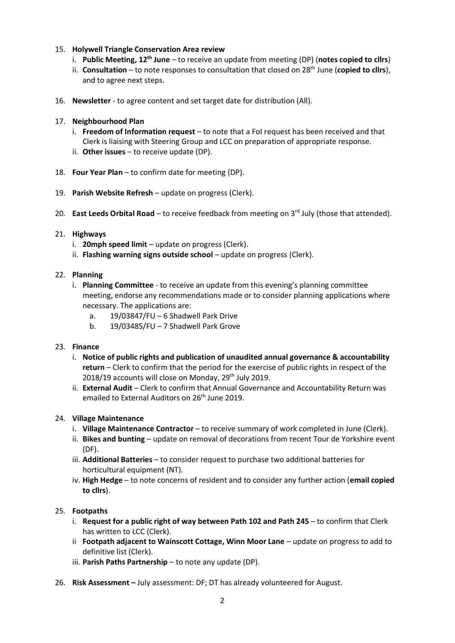### 15. **Holywell Triangle Conservation Area review**

- i. **Public Meeting, 12th June** to receive an update from meeting (DP) (**notes copied to cllrs**)
- ii. **Consultation** to note responses to consultation that closed on 28<sup>th</sup> June (copied to cllrs), and to agree next steps.
- 16. **Newsletter** to agree content and set target date for distribution (All).
- 17. **Neighbourhood Plan**
	- i. **Freedom of Information request** to note that a FoI request has been received and that Clerk is liaising with Steering Group and LCC on preparation of appropriate response.
	- ii. **Other issues** to receive update (DP).
- 18. **Four Year Plan** to confirm date for meeting (DP).
- 19. **Parish Website Refresh** update on progress (Clerk).
- 20. **East Leeds Orbital Road** to receive feedback from meeting on 3<sup>rd</sup> July (those that attended).

### 21. **Highways**

- i. **20mph speed limit** update on progress (Clerk).
- ii. **Flashing warning signs outside school** update on progress (Clerk).

# 22. **Planning**

- i. **Planning Committee** to receive an update from this evening's planning committee meeting, endorse any recommendations made or to consider planning applications where necessary. The applications are:
	- a. 19/03847/FU 6 Shadwell Park Drive
	- b. 19/03485/FU 7 Shadwell Park Grove

### 23. **Finance**

- i. **Notice of public rights and publication of unaudited annual governance & accountability return** – Clerk to confirm that the period for the exercise of public rights in respect of the 2018/19 accounts will close on Monday, 29<sup>th</sup> July 2019.
- ii. **External Audit** Clerk to confirm that Annual Governance and Accountability Return was emailed to External Auditors on 26<sup>th</sup> June 2019.

# 24. **Village Maintenance**

- i. **Village Maintenance Contractor** to receive summary of work completed in June (Clerk).
- ii. **Bikes and bunting** update on removal of decorations from recent Tour de Yorkshire event (DF).
- iii. **Additional Batteries** to consider request to purchase two additional batteries for horticultural equipment (NT).
- iv. **High Hedge** to note concerns of resident and to consider any further action (**email copied to cllrs**).

### 25. **Footpaths**

- i. **Request for a public right of way between Path 102 and Path 245** to confirm that Clerk has written to LCC (Clerk).
- ii **Footpath adjacent to Wainscott Cottage, Winn Moor Lane** update on progress to add to definitive list (Clerk).
- iii. **Parish Paths Partnership** to note any update (DP).
- 26. **Risk Assessment –** July assessment: DF; DT has already volunteered for August.